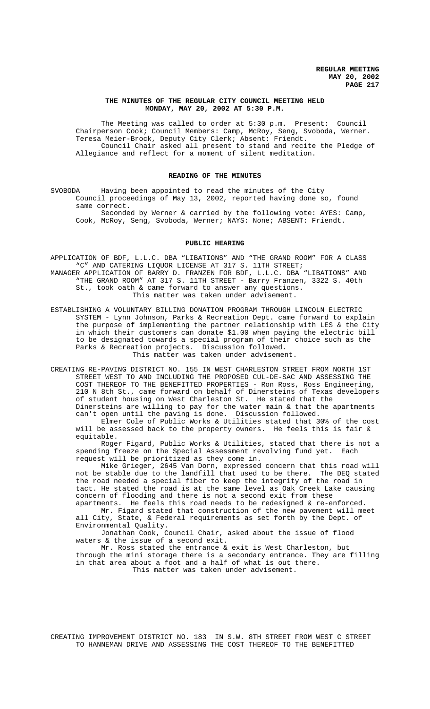#### **THE MINUTES OF THE REGULAR CITY COUNCIL MEETING HELD MONDAY, MAY 20, 2002 AT 5:30 P.M.**

The Meeting was called to order at 5:30 p.m. Present: Council Chairperson Cook; Council Members: Camp, McRoy, Seng, Svoboda, Werner. Teresa Meier-Brock, Deputy City Clerk; Absent: Friendt. Council Chair asked all present to stand and recite the Pledge of Allegiance and reflect for a moment of silent meditation.

#### **READING OF THE MINUTES**

SVOBODA Having been appointed to read the minutes of the City Council proceedings of May 13, 2002, reported having done so, found same correct.

Seconded by Werner & carried by the following vote: AYES: Camp, Cook, McRoy, Seng, Svoboda, Werner; NAYS: None; ABSENT: Friendt.

### **PUBLIC HEARING**

APPLICATION OF BDF, L.L.C. DBA "LIBATIONS" AND "THE GRAND ROOM" FOR A CLASS "C" AND CATERING LIQUOR LICENSE AT 317 S. 11TH STREET; MANAGER APPLICATION OF BARRY D. FRANZEN FOR BDF, L.L.C. DBA "LIBATIONS" AND "THE GRAND ROOM" AT 317 S. 11TH STREET - Barry Franzen, 3322 S. 40th St., took oath & came forward to answer any questions. This matter was taken under advisement.

ESTABLISHING A VOLUNTARY BILLING DONATION PROGRAM THROUGH LINCOLN ELECTRIC SYSTEM - Lynn Johnson, Parks & Recreation Dept. came forward to explain the purpose of implementing the partner relationship with LES & the City in which their customers can donate \$1.00 when paying the electric bill to be designated towards a special program of their choice such as the Parks & Recreation projects. Discussion followed. This matter was taken under advisement.

CREATING RE-PAVING DISTRICT NO. 155 IN WEST CHARLESTON STREET FROM NORTH 1ST STREET WEST TO AND INCLUDING THE PROPOSED CUL-DE-SAC AND ASSESSING THE COST THEREOF TO THE BENEFITTED PROPERTIES - Ron Ross, Ross Engineering, 210 N 8th St., came forward on behalf of Dinersteins of Texas developers of student housing on West Charleston St. He stated that the Dinersteins are willing to pay for the water main & that the apartments can't open until the paving is done. Discussion followed.

Elmer Cole of Public Works & Utilities stated that 30% of the cost will be assessed back to the property owners. He feels this is fair & equitable.

Roger Figard, Public Works & Utilities, stated that there is not a spending freeze on the Special Assessment revolving fund yet. Each request will be prioritized as they come in.

Mike Grieger, 2645 Van Dorn, expressed concern that this road will not be stable due to the landfill that used to be there. The DEQ stated the road needed a special fiber to keep the integrity of the road in tact. He stated the road is at the same level as Oak Creek Lake causing concern of flooding and there is not a second exit from these apartments. He feels this road needs to be redesigned & re-enforced.

Mr. Figard stated that construction of the new pavement will meet all City, State, & Federal requirements as set forth by the Dept. of Environmental Quality.

Jonathan Cook, Council Chair, asked about the issue of flood waters & the issue of a second exit.

Mr. Ross stated the entrance & exit is West Charleston, but through the mini storage there is a secondary entrance. They are filling in that area about a foot and a half of what is out there. This matter was taken under advisement.

CREATING IMPROVEMENT DISTRICT NO. 183 IN S.W. 8TH STREET FROM WEST C STREET TO HANNEMAN DRIVE AND ASSESSING THE COST THEREOF TO THE BENEFITTED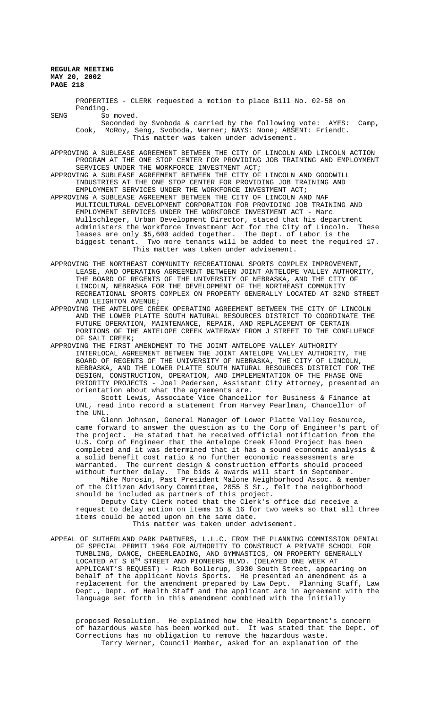PROPERTIES - CLERK requested a motion to place Bill No. 02-58 on Pending. SENG So moved. Seconded by Svoboda & carried by the following vote: AYES: Camp, Cook, McRoy, Seng, Svoboda, Werner; NAYS: None; ABSENT: Friendt. This matter was taken under advisement. APPROVING A SUBLEASE AGREEMENT BETWEEN THE CITY OF LINCOLN AND LINCOLN ACTION PROGRAM AT THE ONE STOP CENTER FOR PROVIDING JOB TRAINING AND EMPLOYMENT SERVICES UNDER THE WORKFORCE INVESTMENT ACT; APPROVING A SUBLEASE AGREEMENT BETWEEN THE CITY OF LINCOLN AND GOODWILL INDUSTRIES AT THE ONE STOP CENTER FOR PROVIDING JOB TRAINING AND EMPLOYMENT SERVICES UNDER THE WORKFORCE INVESTMENT ACT; APPROVING A SUBLEASE AGREEMENT BETWEEN THE CITY OF LINCOLN AND NAF MULTICULTURAL DEVELOPMENT CORPORATION FOR PROVIDING JOB TRAINING AND EMPLOYMENT SERVICES UNDER THE WORKFORCE INVESTMENT ACT - Marc Wullschleger, Urban Development Director, stated that his department administers the Workforce Investment Act for the City of Lincoln. These leases are only \$5,600 added together. The Dept. of Labor is the biggest tenant. Two more tenants will be added to meet the required 17. This matter was taken under advisement.

APPROVING THE NORTHEAST COMMUNITY RECREATIONAL SPORTS COMPLEX IMPROVEMENT, LEASE, AND OPERATING AGREEMENT BETWEEN JOINT ANTELOPE VALLEY AUTHORITY, THE BOARD OF REGENTS OF THE UNIVERSITY OF NEBRASKA, AND THE CITY OF LINCOLN, NEBRASKA FOR THE DEVELOPMENT OF THE NORTHEAST COMMUNITY RECREATIONAL SPORTS COMPLEX ON PROPERTY GENERALLY LOCATED AT 32ND STREET AND LEIGHTON AVENUE;

APPROVING THE ANTELOPE CREEK OPERATING AGREEMENT BETWEEN THE CITY OF LINCOLN AND THE LOWER PLATTE SOUTH NATURAL RESOURCES DISTRICT TO COORDINATE THE FUTURE OPERATION, MAINTENANCE, REPAIR, AND REPLACEMENT OF CERTAIN PORTIONS OF THE ANTELOPE CREEK WATERWAY FROM J STREET TO THE CONFLUENCE OF SALT CREEK;

APPROVING THE FIRST AMENDMENT TO THE JOINT ANTELOPE VALLEY AUTHORITY INTERLOCAL AGREEMENT BETWEEN THE JOINT ANTELOPE VALLEY AUTHORITY, THE BOARD OF REGENTS OF THE UNIVERSITY OF NEBRASKA, THE CITY OF LINCOLN, NEBRASKA, AND THE LOWER PLATTE SOUTH NATURAL RESOURCES DISTRICT FOR THE DESIGN, CONSTRUCTION, OPERATION, AND IMPLEMENTATION OF THE PHASE ONE PRIORITY PROJECTS - Joel Pedersen, Assistant City Attorney, presented an orientation about what the agreements are.

Scott Lewis, Associate Vice Chancellor for Business & Finance at UNL, read into record a statement from Harvey Pearlman, Chancellor of the UNL.

Glenn Johnson, General Manager of Lower Platte Valley Resource, came forward to answer the question as to the Corp of Engineer's part of the project. He stated that he received official notification from the U.S. Corp of Engineer that the Antelope Creek Flood Project has been completed and it was determined that it has a sound economic analysis & a solid benefit cost ratio & no further economic reassessments are warranted. The current design & construction efforts should proceed without further delay. The bids & awards will start in September.

Mike Morosin, Past President Malone Neighborhood Assoc. & member of the Citizen Advisory Committee, 2055 S St., felt the neighborhood should be included as partners of this project.

Deputy City Clerk noted that the Clerk's office did receive a request to delay action on items 15 & 16 for two weeks so that all three items could be acted upon on the same date.

This matter was taken under advisement.

APPEAL OF SUTHERLAND PARK PARTNERS, L.L.C. FROM THE PLANNING COMMISSION DENIAL OF SPECIAL PERMIT 1964 FOR AUTHORITY TO CONSTRUCT A PRIVATE SCHOOL FOR TUMBLING, DANCE, CHEERLEADING, AND GYMNASTICS, ON PROPERTY GENERALLY LOCATED AT S 8TH STREET AND PIONEERS BLVD. (DELAYED ONE WEEK AT APPLICANT'S REQUEST) - Rich Bollerup, 3930 South Street, appearing on behalf of the applicant Novis Sports. He presented an amendment as a replacement for the amendment prepared by Law Dept. Planning Staff, Law Dept., Dept. of Health Staff and the applicant are in agreement with the language set forth in this amendment combined with the initially

proposed Resolution. He explained how the Health Department's concern of hazardous waste has been worked out. It was stated that the Dept. of Corrections has no obligation to remove the hazardous waste. Terry Werner, Council Member, asked for an explanation of the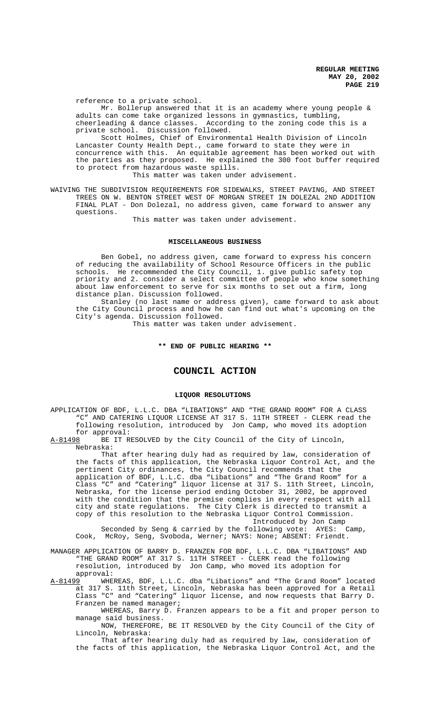reference to a private school.

Mr. Bollerup answered that it is an academy where young people & adults can come take organized lessons in gymnastics, tumbling, cheerleading & dance classes. According to the zoning code this is a private school. Discussion followed.

Scott Holmes, Chief of Environmental Health Division of Lincoln Lancaster County Health Dept., came forward to state they were in concurrence with this. An equitable agreement has been worked out with the parties as they proposed. He explained the 300 foot buffer required to protect from hazardous waste spills.

This matter was taken under advisement.

WAIVING THE SUBDIVISION REQUIREMENTS FOR SIDEWALKS, STREET PAVING, AND STREET TREES ON W. BENTON STREET WEST OF MORGAN STREET IN DOLEZAL 2ND ADDITION FINAL PLAT - Don Dolezal, no address given, came forward to answer any questions.

This matter was taken under advisement.

### **MISCELLANEOUS BUSINESS**

Ben Gobel, no address given, came forward to express his concern of reducing the availability of School Resource Officers in the public schools. He recommended the City Council, 1. give public safety top priority and 2. consider a select committee of people who know something about law enforcement to serve for six months to set out a firm, long distance plan. Discussion followed.

Stanley (no last name or address given), came forward to ask about the City Council process and how he can find out what's upcoming on the City's agenda. Discussion followed.

This matter was taken under advisement.

#### **\*\* END OF PUBLIC HEARING \*\***

# **COUNCIL ACTION**

### **LIQUOR RESOLUTIONS**

APPLICATION OF BDF, L.L.C. DBA "LIBATIONS" AND "THE GRAND ROOM" FOR A CLASS "C" AND CATERING LIQUOR LICENSE AT 317 S. 11TH STREET - CLERK read the following resolution, introduced by Jon Camp, who moved its adoption

for approval:<br>A-81498 BE IT R BE IT RESOLVED by the City Council of the City of Lincoln, Nebraska:

That after hearing duly had as required by law, consideration of the facts of this application, the Nebraska Liquor Control Act, and the pertinent City ordinances, the City Council recommends that the application of BDF, L.L.C. dba "Libations" and "The Grand Room" for a Class "C" and "Catering" liquor license at 317 S. 11th Street, Lincoln, Nebraska, for the license period ending October 31, 2002, be approved with the condition that the premise complies in every respect with all city and state regulations. The City Clerk is directed to transmit a copy of this resolution to the Nebraska Liquor Control Commission. Introduced by Jon Camp<br>
Dlowing vote: AYES: Camp,

Seconded by Seng & carried by the following vote: AYES: Cook, McRoy, Seng, Svoboda, Werner; NAYS: None; ABSENT: Friendt.

MANAGER APPLICATION OF BARRY D. FRANZEN FOR BDF, L.L.C. DBA "LIBATIONS" AND "THE GRAND ROOM" AT 317 S. 11TH STREET - CLERK read the following resolution, introduced by Jon Camp, who moved its adoption for approval:

A-81499 WHEREAS, BDF, L.L.C. dba "Libations" and "The Grand Room" located at 317 S. 11th Street, Lincoln, Nebraska has been approved for a Retail Class "C" and "Catering" liquor license, and now requests that Barry D. Franzen be named manager;

WHEREAS, Barry D. Franzen appears to be a fit and proper person to manage said business.

NOW, THEREFORE, BE IT RESOLVED by the City Council of the City of Lincoln, Nebraska:

That after hearing duly had as required by law, consideration of the facts of this application, the Nebraska Liquor Control Act, and the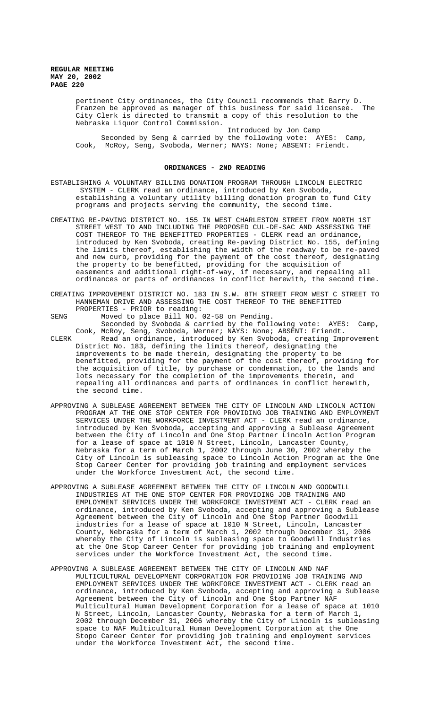> pertinent City ordinances, the City Council recommends that Barry D. Franzen be approved as manager of this business for said licensee. The City Clerk is directed to transmit a copy of this resolution to the Nebraska Liquor Control Commission.

Introduced by Jon Camp Seconded by Seng & carried by the following vote: AYES: Camp, Cook, McRoy, Seng, Svoboda, Werner; NAYS: None; ABSENT: Friendt.

#### **ORDINANCES - 2ND READING**

ESTABLISHING A VOLUNTARY BILLING DONATION PROGRAM THROUGH LINCOLN ELECTRIC SYSTEM - CLERK read an ordinance, introduced by Ken Svoboda, establishing a voluntary utility billing donation program to fund City programs and projects serving the community, the second time.

CREATING RE-PAVING DISTRICT NO. 155 IN WEST CHARLESTON STREET FROM NORTH 1ST STREET WEST TO AND INCLUDING THE PROPOSED CUL-DE-SAC AND ASSESSING THE COST THEREOF TO THE BENEFITTED PROPERTIES - CLERK read an ordinance, introduced by Ken Svoboda, creating Re-paving District No. 155, defining the limits thereof, establishing the width of the roadway to be re-paved and new curb, providing for the payment of the cost thereof, designating the property to be benefitted, providing for the acquisition of easements and additional right-of-way, if necessary, and repealing all ordinances or parts of ordinances in conflict herewith, the second time.

CREATING IMPROVEMENT DISTRICT NO. 183 IN S.W. 8TH STREET FROM WEST C STREET TO HANNEMAN DRIVE AND ASSESSING THE COST THEREOF TO THE BENEFITTED PROPERTIES - PRIOR to reading:

SENG Moved to place Bill NO. 02-58 on Pending.

Seconded by Svoboda & carried by the following vote: AYES: Camp, Cook, McRoy, Seng, Svoboda, Werner; NAYS: None; ABSENT: Friendt.

- CLERK Read an ordinance, introduced by Ken Svoboda, creating Improvement District No. 183, defining the limits thereof, designating the improvements to be made therein, designating the property to be benefitted, providing for the payment of the cost thereof, providing for the acquisition of title, by purchase or condemnation, to the lands and lots necessary for the completion of the improvements therein, and repealing all ordinances and parts of ordinances in conflict herewith, the second time.
- APPROVING A SUBLEASE AGREEMENT BETWEEN THE CITY OF LINCOLN AND LINCOLN ACTION PROGRAM AT THE ONE STOP CENTER FOR PROVIDING JOB TRAINING AND EMPLOYMENT SERVICES UNDER THE WORKFORCE INVESTMENT ACT - CLERK read an ordinance, introduced by Ken Svoboda, accepting and approving a Sublease Agreement between the City of Lincoln and One Stop Partner Lincoln Action Program for a lease of space at 1010 N Street, Lincoln, Lancaster County, Nebraska for a term of March 1, 2002 through June 30, 2002 whereby the City of Lincoln is subleasing space to Lincoln Action Program at the One Stop Career Center for providing job training and employment services under the Workforce Investment Act, the second time.
- APPROVING A SUBLEASE AGREEMENT BETWEEN THE CITY OF LINCOLN AND GOODWILL INDUSTRIES AT THE ONE STOP CENTER FOR PROVIDING JOB TRAINING AND EMPLOYMENT SERVICES UNDER THE WORKFORCE INVESTMENT ACT - CLERK read an ordinance, introduced by Ken Svoboda, accepting and approving a Sublease Agreement between the City of Lincoln and One Stop Partner Goodwill industries for a lease of space at 1010 N Street, Lincoln, Lancaster County, Nebraska for a term of March 1, 2002 through December 31, 2006 whereby the City of Lincoln is subleasing space to Goodwill Industries at the One Stop Career Center for providing job training and employment services under the Workforce Investment Act, the second time.
- APPROVING A SUBLEASE AGREEMENT BETWEEN THE CITY OF LINCOLN AND NAF MULTICULTURAL DEVELOPMENT CORPORATION FOR PROVIDING JOB TRAINING AND EMPLOYMENT SERVICES UNDER THE WORKFORCE INVESTMENT ACT - CLERK read an ordinance, introduced by Ken Svoboda, accepting and approving a Sublease Agreement between the City of Lincoln and One Stop Partner NAF Multicultural Human Development Corporation for a lease of space at 1010 N Street, Lincoln, Lancaster County, Nebraska for a term of March 1, 2002 through December 31, 2006 whereby the City of Lincoln is subleasing space to NAF Multicultural Human Development Corporation at the One Stopo Career Center for providing job training and employment services under the Workforce Investment Act, the second time.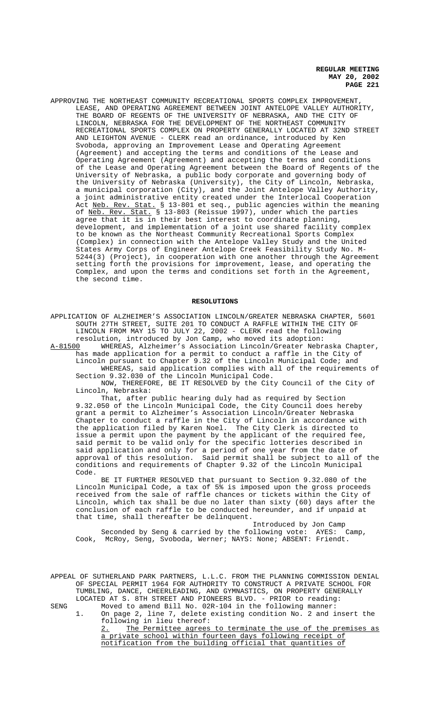APPROVING THE NORTHEAST COMMUNITY RECREATIONAL SPORTS COMPLEX IMPROVEMENT, LEASE, AND OPERATING AGREEMENT BETWEEN JOINT ANTELOPE VALLEY AUTHORITY, THE BOARD OF REGENTS OF THE UNIVERSITY OF NEBRASKA, AND THE CITY OF LINCOLN, NEBRASKA FOR THE DEVELOPMENT OF THE NORTHEAST COMMUNITY RECREATIONAL SPORTS COMPLEX ON PROPERTY GENERALLY LOCATED AT 32ND STREET AND LEIGHTON AVENUE - CLERK read an ordinance, introduced by Ken Svoboda, approving an Improvement Lease and Operating Agreement (Agreement) and accepting the terms and conditions of the Lease and Operating Agreement (Agreement) and accepting the terms and conditions of the Lease and Operating Agreement between the Board of Regents of the University of Nebraska, a public body corporate and governing body of the University of Nebraska (University), the City of Lincoln, Nebraska, a municipal corporation (City), and the Joint Antelope Valley Authority, a joint administrative entity created under the Interlocal Cooperation Act <u>Neb. Rev. Stat.</u> § 13-801 et seq., public agencies within the meaning of Neb. Rev. Stat. § 13-803 (Reissue 1997), under which the parties agree that it is in their best interest to coordinate planning, development, and implementation of a joint use shared facility complex to be known as the Northeast Community Recreational Sports Complex (Complex) in connection with the Antelope Valley Study and the United States Army Corps of Engineer Antelope Creek Feasibility Study No. M-5244(3) (Project), in cooperation with one another through the Agreement setting forth the provisions for improvement, lease, and operating the Complex, and upon the terms and conditions set forth in the Agreement, the second time.

#### **RESOLUTIONS**

APPLICATION OF ALZHEIMER'S ASSOCIATION LINCOLN/GREATER NEBRASKA CHAPTER, 5601 SOUTH 27TH STREET, SUITE 201 TO CONDUCT A RAFFLE WITHIN THE CITY OF LINCOLN FROM MAY 15 TO JULY 22, 2002 - CLERK read the following resolution, introduced by Jon Camp, who moved its adoption:

A-81500 WHEREAS, Alzheimer's Association Lincoln/Greater Nebraska Chapter, has made application for a permit to conduct a raffle in the City of Lincoln pursuant to Chapter 9.32 of the Lincoln Municipal Code; and WHEREAS, said application complies with all of the requirements of Section 9.32.030 of the Lincoln Municipal Code.

NOW, THEREFORE, BE IT RESOLVED by the City Council of the City of Lincoln, Nebraska:

That, after public hearing duly had as required by Section 9.32.050 of the Lincoln Municipal Code, the City Council does hereby grant a permit to Alzheimer's Association Lincoln/Greater Nebraska Chapter to conduct a raffle in the City of Lincoln in accordance with the application filed by Karen Noel. The City Clerk is directed to issue a permit upon the payment by the applicant of the required fee, said permit to be valid only for the specific lotteries described in said application and only for a period of one year from the date of approval of this resolution. Said permit shall be subject to all of the conditions and requirements of Chapter 9.32 of the Lincoln Municipal Code.

BE IT FURTHER RESOLVED that pursuant to Section 9.32.080 of the Lincoln Municipal Code, a tax of 5% is imposed upon the gross proceeds received from the sale of raffle chances or tickets within the City of Lincoln, which tax shall be due no later than sixty (60) days after the conclusion of each raffle to be conducted hereunder, and if unpaid at that time, shall thereafter be delinquent.

Introduced by Jon Camp Seconded by Seng & carried by the following vote: AYES: Camp, Cook, McRoy, Seng, Svoboda, Werner; NAYS: None; ABSENT: Friendt.

APPEAL OF SUTHERLAND PARK PARTNERS, L.L.C. FROM THE PLANNING COMMISSION DENIAL OF SPECIAL PERMIT 1964 FOR AUTHORITY TO CONSTRUCT A PRIVATE SCHOOL FOR TUMBLING, DANCE, CHEERLEADING, AND GYMNASTICS, ON PROPERTY GENERALLY LOCATED AT S. 8TH STREET AND PIONEERS BLVD. - PRIOR to reading: SENG Moved to amend Bill No. 02R-104 in the following manner:

1. On page 2, line 7, delete existing condition No. 2 and insert the following in lieu thereof: 2. The Permittee agrees to terminate the use of the premises as

a private school within fourteen days following receipt of notification from the building official that quantities of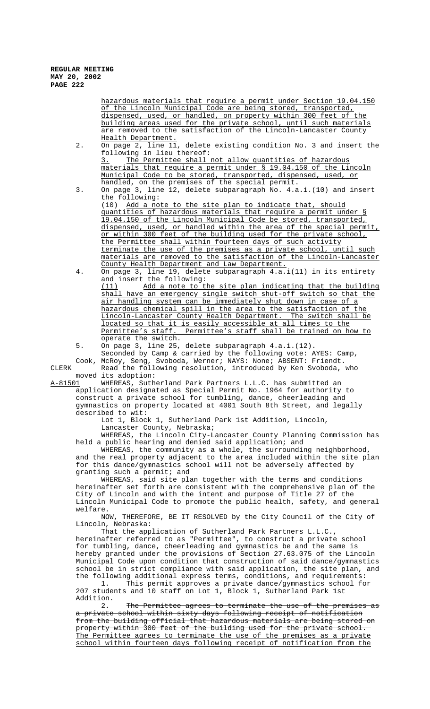hazardous materials that require a permit under Section 19.04.150 of the Lincoln Municipal Code are being stored, transported, dispensed, used, or handled, on property within 300 feet of the building areas used for the private school, until such materials are removed to the satisfaction of the Lincoln-Lancaster County Health Department.

2. On page 2, line 11, delete existing condition No. 3 and insert the following in lieu thereof:

3. The Permittee shall not allow quantities of hazardous materials that require a permit under § 19.04.150 of the Lincoln Municipal Code to be stored, transported, dispensed, used, or handled, on the premises of the special permit.

3. On page 3, line 12, delete subparagraph No. 4.a.i.(10) and insert the following: (10) Add a note to the site plan to indicate that, should quantities of hazardous materials that require a permit under § 19.04.150 of the Lincoln Municipal Code be stored, transported,

dispensed, used, or handled within the area of the special permit, or within 300 feet of the building used for the private school, the Permittee shall within fourteen days of such activity terminate the use of the premises as a private school, until such materials are removed to the satisfaction of the Lincoln-Lancaster County Health Department and Law Department.

4. On page 3, line 19, delete subparagraph 4.a.i(11) in its entirety and insert the following:

 (11) Add a note to the site plan indicating that the building shall have an emergency single switch shut-off switch so that the air handling system can be immediately shut down in case of a hazardous chemical spill in the area to the satisfaction of the Lincoln-Lancaster County Health Department. The switch shall be located so that it is easily accessible at all times to the<br>Permittee's staff. Permittee's staff shall be trained on ho Permittee's staff shall be trained on how to operate the switch.

5. On page 3, line 25, delete subparagraph 4.a.i.(12). Seconded by Camp & carried by the following vote: AYES: Camp,

Cook, McRoy, Seng, Svoboda, Werner; NAYS: None; ABSENT: Friendt. CLERK Read the following resolution, introduced by Ken Svoboda, who moved its adoption:<br>A-81501 WHEREAS, Suth

WHEREAS, Sutherland Park Partners L.L.C. has submitted an application designated as Special Permit No. 1964 for authority to construct a private school for tumbling, dance, cheerleading and gymnastics on property located at 4001 South 8th Street, and legally described to wit:

Lot 1, Block 1, Sutherland Park 1st Addition, Lincoln, Lancaster County, Nebraska;

WHEREAS, the Lincoln City-Lancaster County Planning Commission has held a public hearing and denied said application; and

WHEREAS, the community as a whole, the surrounding neighborhood, and the real property adjacent to the area included within the site plan for this dance/gymnastics school will not be adversely affected by granting such a permit; and

WHEREAS, said site plan together with the terms and conditions hereinafter set forth are consistent with the comprehensive plan of the City of Lincoln and with the intent and purpose of Title 27 of the Lincoln Municipal Code to promote the public health, safety, and general welfare.

NOW, THEREFORE, BE IT RESOLVED by the City Council of the City of Lincoln, Nebraska:

That the application of Sutherland Park Partners L.L.C., hereinafter referred to as "Permittee", to construct a private school for tumbling, dance, cheerleading and gymnastics be and the same is hereby granted under the provisions of Section 27.63.075 of the Lincoln Municipal Code upon condition that construction of said dance/gymnastics school be in strict compliance with said application, the site plan, and the following additional express terms, conditions, and requirements:

1. This permit approves a private dance/gymnastics school for 207 students and 10 staff on Lot 1, Block 1, Sutherland Park 1st Addition.

2. The Permittee agrees to terminate the use of the premises as private school within sixty days following receipt of notification from the building official that hazardous materials are being stored on property within 300 feet of the building used for the private school. The Permittee agrees to terminate the use of the premises as a private school within fourteen days following receipt of notification from the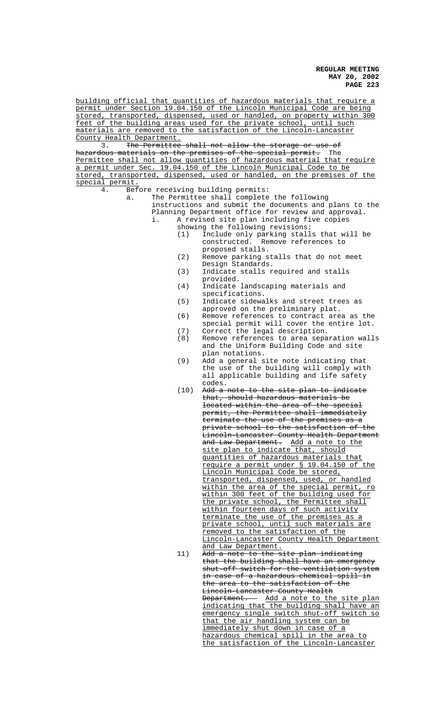building official that quantities of hazardous materials that require a permit under Section 19.04.150 of the Lincoln Municipal Code are being stored, transported, dispensed, used or handled, on property within 300 feet of the building areas used for the private school, until such materials are removed to the satisfaction of the Lincoln-Lancaster County Health Department.

3. The Permittee shall not allow the storage or use of<br>hazardous materials on the premises of the special permit. The materials on the premises of the special permit. The Permittee shall not allow quantities of hazardous material that require a permit under Sec. 19.04.150 of the Lincoln Municipal Code to be stored, transported, dispensed, used or handled, on the premises of the special permit.<br>4. Bef

- 4. Before receiving building permits:
	- a. The Permittee shall complete the following instructions and submit the documents and plans to the Planning Department office for review and approval. i. A revised site plan including five copies showing the following revisions:
		- (1) Include only parking stalls that will be constructed. Remove references to proposed stalls.
		- (2) Remove parking stalls that do not meet Design Standards.
		- (3) Indicate stalls required and stalls provided.
		- (4) Indicate landscaping materials and specifications.
		- (5) Indicate sidewalks and street trees as approved on the preliminary plat.
		- (6) Remove references to contract area as the special permit will cover the entire lot.
		- (7) Correct the legal description.
		- (8) Remove references to area separation walls and the Uniform Building Code and site plan notations.
		- (9) Add a general site note indicating that the use of the building will comply with all applicable building and life safety codes.
		- (10) Add a note to the site plan to indicate that, should hazardous materials be located within the area of the special permit, the Permittee shall immediately terminate the use of the premises as a private school to the satisfaction of the Lincoln-Lancaster County Health Department and Law Department. Add a note to the site plan to indicate that, should quantities of hazardous materials that require a permit under § 19.04.150 of the Lincoln Municipal Code be stored, transported, dispensed, used, or handled within the area of the special permit, ro within 300 feet of the building used for the private school, the Permittee shall within fourteen days of such activity terminate the use of the premises as a private school, until such materials are removed to the satisfaction of the Lincoln-Lancaster County Health Department and Law Department. 11) A<del>dd a note to the site plan indicating</del> that the building shall have an emergency shut-off switch for the ventilation system in case of a hazardous chemical spill in the area to the satisfaction of the Lincoln-Lancaster County Health Department. Add a note to the site plan indicating that the building shall have an emergency single switch shut-off switch so that the air handling system can be immediately shut down in case of a hazardous chemical spill in the area to the satisfaction of the Lincoln-Lancaster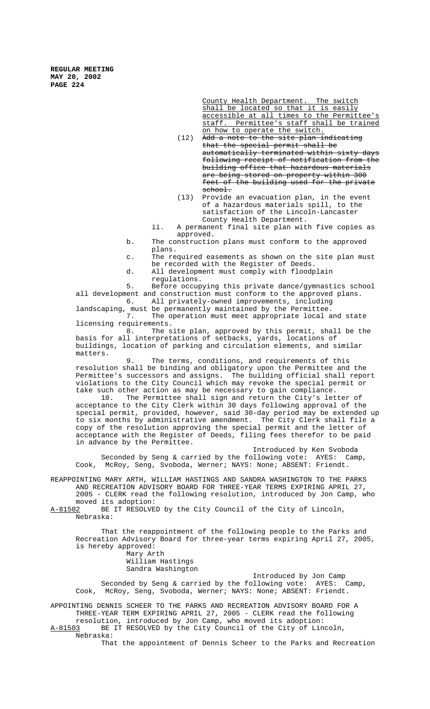> County Health Department. The switch shall be located so that it is easily accessible at all times to the Permittee's staff. Permittee's staff shall be trained on how to operate the switch.

 $(12)$  Add a note to the site plan indicating that the special permit shall be automatically terminated within sixty days following receipt of notification from the building office that hazardous materials are being stored on property within 300<br>feet of the building used for the priva the building used for the private school.

- (13) Provide an evacuation plan, in the event of a hazardous materials spill, to the satisfaction of the Lincoln-Lancaster County Health Department.
- ii. A permanent final site plan with five copies as approved.
- b. The construction plans must conform to the approved plans.
- c. The required easements as shown on the site plan must be recorded with the Register of Deeds.
- d. All development must comply with floodplain regulations.

5. Before occupying this private dance/gymnastics school all development and construction must conform to the approved plans.

6. All privately-owned improvements, including landscaping, must be permanently maintained by the Permittee.

7. The operation must meet appropriate local and state licensing requirements.

8. The site plan, approved by this permit, shall be the basis for all interpretations of setbacks, yards, locations of buildings, location of parking and circulation elements, and similar matters.

9. The terms, conditions, and requirements of this resolution shall be binding and obligatory upon the Permittee and the Permittee's successors and assigns. The building official shall report violations to the City Council which may revoke the special permit or take such other action as may be necessary to gain compliance.

10. The Permittee shall sign and return the City's letter of acceptance to the City Clerk within 30 days following approval of the special permit, provided, however, said 30-day period may be extended up to six months by administrative amendment. The City Clerk shall file a copy of the resolution approving the special permit and the letter of acceptance with the Register of Deeds, filing fees therefor to be paid in advance by the Permittee.

Introduced by Ken Svoboda Seconded by Seng & carried by the following vote: AYES: Camp, Cook, McRoy, Seng, Svoboda, Werner; NAYS: None; ABSENT: Friendt.

REAPPOINTING MARY ARTH, WILLIAM HASTINGS AND SANDRA WASHINGTON TO THE PARKS AND RECREATION ADVISORY BOARD FOR THREE-YEAR TERMS EXPIRING APRIL 27, 2005 - CLERK read the following resolution, introduced by Jon Camp, who moved its adoption:<br><u>A-81502</u> BE IT RESOLVE

BE IT RESOLVED by the City Council of the City of Lincoln, Nebraska:

That the reappointment of the following people to the Parks and Recreation Advisory Board for three-year terms expiring April 27, 2005, is hereby approved: Mary Arth

William Hastings

Sandra Washington

Introduced by Jon Camp Seconded by Seng & carried by the following vote: AYES: Camp, Cook, McRoy, Seng, Svoboda, Werner; NAYS: None; ABSENT: Friendt.

APPOINTING DENNIS SCHEER TO THE PARKS AND RECREATION ADVISORY BOARD FOR A THREE-YEAR TERM EXPIRING APRIL 27, 2005 - CLERK read the following resolution, introduced by Jon Camp, who moved its adoption:<br>A-81503 BE IT RESOLVED by the City Council of the City of Lin BE IT RESOLVED by the City Council of the City of Lincoln, Nebraska:

That the appointment of Dennis Scheer to the Parks and Recreation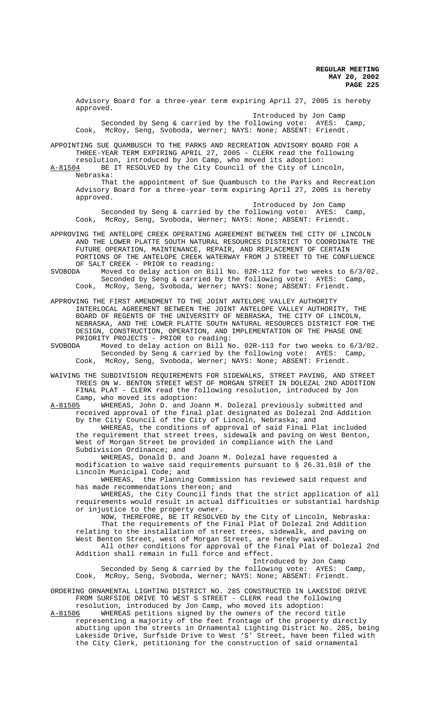Advisory Board for a three-year term expiring April 27, 2005 is hereby approved.

Introduced by Jon Camp<br>Jllowing vote: AYES: Seconded by Seng & carried by the following vote: AYES: Camp, Cook, McRoy, Seng, Svoboda, Werner; NAYS: None; ABSENT: Friendt.

APPOINTING SUE QUAMBUSCH TO THE PARKS AND RECREATION ADVISORY BOARD FOR A THREE-YEAR TERM EXPIRING APRIL 27, 2005 - CLERK read the following

resolution, introduced by Jon Camp, who moved its adoption:<br>A-81504 BE IT RESOLVED by the City Council of the City of Lin BE IT RESOLVED by the City Council of the City of Lincoln

Nebraska:

That the appointment of Sue Quambusch to the Parks and Recreation Advisory Board for a three-year term expiring April 27, 2005 is hereby approved.

Introduced by Jon Camp Seconded by Seng & carried by the following vote: AYES: Camp, Cook, McRoy, Seng, Svoboda, Werner; NAYS: None; ABSENT: Friendt.

APPROVING THE ANTELOPE CREEK OPERATING AGREEMENT BETWEEN THE CITY OF LINCOLN AND THE LOWER PLATTE SOUTH NATURAL RESOURCES DISTRICT TO COORDINATE THE FUTURE OPERATION, MAINTENANCE, REPAIR, AND REPLACEMENT OF CERTAIN PORTIONS OF THE ANTELOPE CREEK WATERWAY FROM J STREET TO THE CONFLUENCE OF SALT CREEK - PRIOR to reading:<br>SVOBODA Moved to delay action on Bil

Moved to delay action on Bill No. 02R-112 for two weeks to 6/3/02.<br>Seconded by Seng & carried by the following vote: AYES: Camp, Seconded by Seng & carried by the following vote: AYES: Camp, Cook, McRoy, Seng, Svoboda, Werner; NAYS: None; ABSENT: Friendt.

APPROVING THE FIRST AMENDMENT TO THE JOINT ANTELOPE VALLEY AUTHORITY INTERLOCAL AGREEMENT BETWEEN THE JOINT ANTELOPE VALLEY AUTHORITY, THE BOARD OF REGENTS OF THE UNIVERSITY OF NEBRASKA, THE CITY OF LINCOLN, NEBRASKA, AND THE LOWER PLATTE SOUTH NATURAL RESOURCES DISTRICT FOR THE DESIGN, CONSTRUCTION, OPERATION, AND IMPLEMENTATION OF THE PHASE ONE PRIORITY PROJECTS - PRIOR to reading:<br>SVOBODA Moved to delay action on Bill No

SVOBODA Moved to delay action on Bill No. 02R-113 for two weeks to 6/3/02. Seconded by Seng & carried by the following vote: AYES: Camp, Cook, McRoy, Seng, Svoboda, Werner; NAYS: None; ABSENT: Friendt.

WAIVING THE SUBDIVISION REQUIREMENTS FOR SIDEWALKS, STREET PAVING, AND STREET TREES ON W. BENTON STREET WEST OF MORGAN STREET IN DOLEZAL 2ND ADDITION FINAL PLAT - CLERK read the following resolution, introduced by Jon Camp, who moved its adoption:

A-81505 WHEREAS, John D. and Joann M. Dolezal previously submitted and received approval of the final plat designated as Dolezal 2nd Addition by the City Council of the City of Lincoln, Nebraska; and WHEREAS, the conditions of approval of said Final Plat included

the requirement that street trees, sidewalk and paving on West Benton, West of Morgan Street be provided in compliance with the Land Subdivision Ordinance; and

WHEREAS, Donald D. and Joann M. Dolezal have requested a modification to waive said requirements pursuant to § 26.31.010 of the Lincoln Municipal Code; and

WHEREAS, the Planning Commission has reviewed said request and has made recommendations thereon; and

WHEREAS, the City Council finds that the strict application of all requirements would result in actual difficulties or substantial hardship or injustice to the property owner.

NOW, THEREFORE, BE IT RESOLVED by the City of Lincoln, Nebraska: That the requirements of the Final Plat of Dolezal 2nd Addition relating to the installation of street trees, sidewalk, and paving on West Benton Street, west of Morgan Street, are hereby waived. All other conditions for approval of the Final Plat of Dolezal 2nd Addition shall remain in full force and effect.

Introduced by Jon Camp<br>Ilowing vote: AYES: Camp, Seconded by Seng & carried by the following vote:  $AYES:$ Cook, McRoy, Seng, Svoboda, Werner; NAYS: None; ABSENT: Friendt.

ORDERING ORNAMENTAL LIGHTING DISTRICT NO. 285 CONSTRUCTED IN LAKESIDE DRIVE FROM SURFSIDE DRIVE TO WEST S STREET - CLERK read the following resolution, introduced by Jon Camp, who moved its adoption:

A-81506 WHEREAS petitions signed by the owners of the record title representing a majority of the feet frontage of the property directly abutting upon the streets in Ornamental Lighting District No. 285, being Lakeside Drive, Surfside Drive to West 'S' Street, have been filed with the City Clerk, petitioning for the construction of said ornamental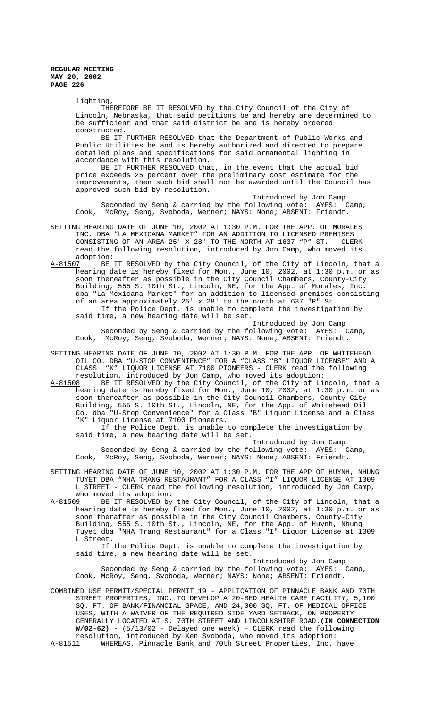lighting,

THEREFORE BE IT RESOLVED by the City Council of the City of Lincoln, Nebraska, that said petitions be and hereby are determined to be sufficient and that said district be and is hereby ordered constructed.

BE IT FURTHER RESOLVED that the Department of Public Works and Public Utilities be and is hereby authorized and directed to prepare detailed plans and specifications for said ornamental lighting in accordance with this resolution.

BE IT FURTHER RESOLVED that, in the event that the actual bid price exceeds 25 percent over the preliminary cost estimate for the improvements, then such bid shall not be awarded until the Council has approved such bid by resolution.

Introduced by Jon Camp Seconded by Seng & carried by the following vote: AYES: Camp, Cook, McRoy, Seng, Svoboda, Werner; NAYS: None; ABSENT: Friendt.

- SETTING HEARING DATE OF JUNE 10, 2002 AT 1:30 P.M. FOR THE APP. OF MORALES INC. DBA "LA MEXICANA MARKET" FOR AN ADDITION TO LICENSED PREMISES CONSISTING OF AN AREA 25' X 28' TO THE NORTH AT 1637 "P" ST. - CLERK read the following resolution, introduced by Jon Camp, who moved its adoption:<br>A-81507 BE
- BE IT RESOLVED by the City Council, of the City of Lincoln, that a hearing date is hereby fixed for Mon., June 10, 2002, at 1:30 p.m. or as soon thereafter as possible in the City Council Chambers, County-City Building, 555 S. 10th St., Lincoln, NE, for the App. of Morales, Inc. dba "La Mexicana Market" for an addition to licensed premises consisting of an area approximately 25' x 28' to the north at 637 "P" St. If the Police Dept. is unable to complete the investigation by said time, a new hearing date will be set.

Introduced by Jon Camp<br>bllowing vote: AYES: Camp, Seconded by Seng & carried by the following vote: AYES: Camp, Cook, McRoy, Seng, Svoboda, Werner; NAYS: None; ABSENT: Friendt.

SETTING HEARING DATE OF JUNE 10, 2002 AT 1:30 P.M. FOR THE APP. OF WHITEHEAD OIL CO. DBA "U-STOP CONVENIENCE" FOR A "CLASS "B" LIQUOR LICENSE" AND A CLASS "K" LIQUOR LICENSE AT 7100 PIONEERS - CLERK read the following resolution, introduced by Jon Camp, who moved its adoption:<br>A-81508 BE IT RESOLVED by the City Council, of the City of Li

A-81508 BE IT RESOLVED by the City Council, of the City of Lincoln, that a hearing date is hereby fixed for Mon., June 10, 2002, at 1:30 p.m. or as soon thereafter as possible in the City Council Chambers, County-City Building, 555 S. 10th St., Lincoln, NE, for the App. of Whitehead Oil Co. dba "U-Stop Convenience" for a Class "B" Liquor License and a Class "K" Liquor License at 7100 Pioneers.

If the Police Dept. is unable to complete the investigation by said time, a new hearing date will be set.

Introduced by Jon Camp<br>cllowing vote: AYES: Camp. Seconded by Seng & carried by the following vote: AYES: Camp, Cook, McRoy, Seng, Svoboda, Werner; NAYS: None; ABSENT: Friendt.

SETTING HEARING DATE OF JUNE 10, 2002 AT 1:30 P.M. FOR THE APP OF HUYNH, NHUNG TUYET DBA "NHA TRANG RESTAURANT" FOR A CLASS "I" LIQUOR LICENSE AT 1309 L STREET - CLERK read the following resolution, introduced by Jon Camp, who moved its adoption:

A-81509 BE IT RESOLVED by the City Council, of the City of Lincoln, that a hearing date is hereby fixed for Mon., June 10, 2002, at 1:30 p.m. or as soon therafter as possible in the City Council Chambers, County-City Building, 555 S. 10th St., Lincoln, NE, for the App. of Huynh, Nhung Tuyet dba "NHA Trang Restaurant" for a Class "I" Liquor License at 1309 L Street.

If the Police Dept. is unable to complete the investigation by said time, a new hearing date will be set.

Introduced by Jon Camp Seconded by Seng & carried by the following vote: AYES: Camp, Cook, McRoy, Seng, Svoboda, Werner; NAYS: None; ABSENT: Friendt.

COMBINED USE PERMIT/SPECIAL PERMIT 19 - APPLICATION OF PINNACLE BANK AND 70TH STREET PROPERTIES, INC. TO DEVELOP A 20-BED HEALTH CARE FACILITY, 5,100 SQ. FT. OF BANK/FINANCIAL SPACE, AND 24,000 SQ. FT. OF MEDICAL OFFICE USES, WITH A WAIVER OF THE REQUIRED SIDE YARD SETBACK, ON PROPERTY GENERALLY LOCATED AT S. 70TH STREET AND LINCOLNSHIRE ROAD.**(IN CONNECTION W/02-62) -** (5/13/02 - Delayed one week) - CLERK read the following resolution, introduced by Ken Svoboda, who moved its adoption: A-81511 WHEREAS, Pinnacle Bank and 70th Street Properties, Inc. have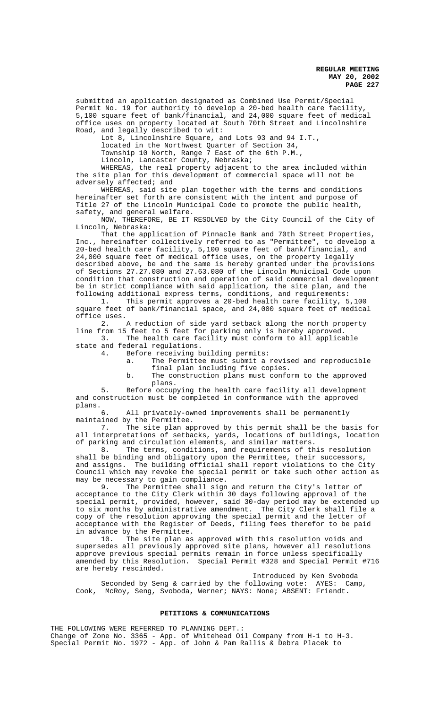submitted an application designated as Combined Use Permit/Special Permit No. 19 for authority to develop a 20-bed health care facility, 5,100 square feet of bank/financial, and 24,000 square feet of medical office uses on property located at South 70th Street and Lincolnshire Road, and legally described to wit:

Lot 8, Lincolnshire Square, and Lots 93 and 94 I.T.,

located in the Northwest Quarter of Section 34,

Township 10 North, Range 7 East of the 6th P.M., Lincoln, Lancaster County, Nebraska;

WHEREAS, the real property adjacent to the area included within the site plan for this development of commercial space will not be adversely affected; and

WHEREAS, said site plan together with the terms and conditions hereinafter set forth are consistent with the intent and purpose of Title 27 of the Lincoln Municipal Code to promote the public health, safety, and general welfare.

NOW, THEREFORE, BE IT RESOLVED by the City Council of the City of Lincoln, Nebraska:

That the application of Pinnacle Bank and 70th Street Properties, Inc., hereinafter collectively referred to as "Permittee", to develop a 20-bed health care facility, 5,100 square feet of bank/financial, and 24,000 square feet of medical office uses, on the property legally described above, be and the same is hereby granted under the provisions of Sections 27.27.080 and 27.63.080 of the Lincoln Municipal Code upon condition that construction and operation of said commercial development be in strict compliance with said application, the site plan, and the following additional express terms, conditions, and requirements:

1. This permit approves a 20-bed health care facility, 5,100 square feet of bank/financial space, and 24,000 square feet of medical office uses.<br> $2.$ 

A reduction of side yard setback along the north property line from 15 feet to 5 feet for parking only is hereby approved. 3. The health care facility must conform to all applicable

state and federal regulations.

4. Before receiving building permits:

- a. The Permittee must submit a revised and reproducible final plan including five copies.
- b. The construction plans must conform to the approved plans.

5. Before occupying the health care facility all development and construction must be completed in conformance with the approved plans.

6. All privately-owned improvements shall be permanently maintained by the Permittee.

7. The site plan approved by this permit shall be the basis for all interpretations of setbacks, yards, locations of buildings, location of parking and circulation elements, and similar matters.

8. The terms, conditions, and requirements of this resolution shall be binding and obligatory upon the Permittee, their successors, and assigns. The building official shall report violations to the City Council which may revoke the special permit or take such other action as may be necessary to gain compliance.<br>9. The Permittee shall sign

The Permittee shall sign and return the City's letter of acceptance to the City Clerk within 30 days following approval of the special permit, provided, however, said 30-day period may be extended up to six months by administrative amendment. The City Clerk shall file a copy of the resolution approving the special permit and the letter of acceptance with the Register of Deeds, filing fees therefor to be paid in advance by the Permittee.

10. The site plan as approved with this resolution voids and supersedes all previously approved site plans, however all resolutions approve previous special permits remain in force unless specifically amended by this Resolution. Special Permit #328 and Special Permit #716 are hereby rescinded.

Introduced by Ken Svoboda Seconded by Seng & carried by the following vote: AYES: Camp, Cook, McRoy, Seng, Svoboda, Werner; NAYS: None; ABSENT: Friendt.

### **PETITIONS & COMMUNICATIONS**

THE FOLLOWING WERE REFERRED TO PLANNING DEPT.: Change of Zone No. 3365 - App. of Whitehead Oil Company from H-1 to H-3. Special Permit No. 1972 - App. of John & Pam Rallis & Debra Placek to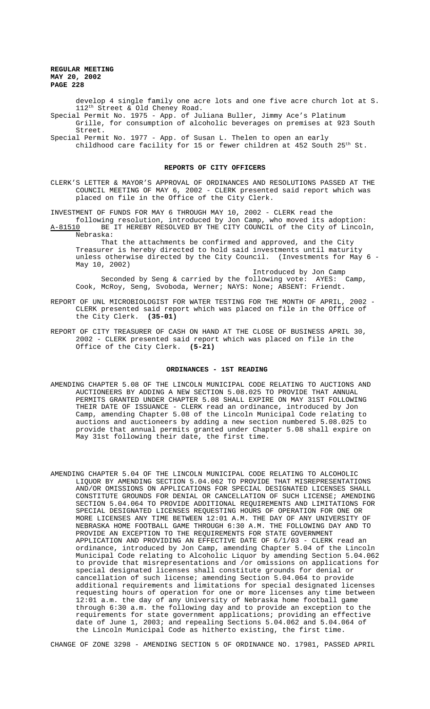develop 4 single family one acre lots and one five acre church lot at S. 112th Street & Old Cheney Road.

Special Permit No. 1975 - App. of Juliana Buller, Jimmy Ace's Platinum Grille, for consumption of alcoholic beverages on premises at 923 South Street.

Special Permit No. 1977 - App. of Susan L. Thelen to open an early childhood care facility for 15 or fewer children at 452 South 25th St.

### **REPORTS OF CITY OFFICERS**

CLERK'S LETTER & MAYOR'S APPROVAL OF ORDINANCES AND RESOLUTIONS PASSED AT THE COUNCIL MEETING OF MAY 6, 2002 - CLERK presented said report which was placed on file in the Office of the City Clerk.

INVESTMENT OF FUNDS FOR MAY 6 THROUGH MAY 10, 2002 - CLERK read the

following resolution, introduced by Jon Camp, who moved its adoption: BE IT HEREBY RESOLVED BY THE CITY COUNCIL of the City of Lincoln, Nebraska:

That the attachments be confirmed and approved, and the City Treasurer is hereby directed to hold said investments until maturity unless otherwise directed by the City Council. (Investments for May 6 - May 10, 2002)

Introduced by Jon Camp Seconded by Seng & carried by the following vote: AYES: Camp, Cook, McRoy, Seng, Svoboda, Werner; NAYS: None; ABSENT: Friendt.

- REPORT OF UNL MICROBIOLOGIST FOR WATER TESTING FOR THE MONTH OF APRIL, 2002 CLERK presented said report which was placed on file in the Office of the City Clerk. **(35-01)**
- REPORT OF CITY TREASURER OF CASH ON HAND AT THE CLOSE OF BUSINESS APRIL 30, 2002 - CLERK presented said report which was placed on file in the Office of the City Clerk. **(5-21)**

#### **ORDINANCES - 1ST READING**

- AMENDING CHAPTER 5.08 OF THE LINCOLN MUNICIPAL CODE RELATING TO AUCTIONS AND AUCTIONEERS BY ADDING A NEW SECTION 5.08.025 TO PROVIDE THAT ANNUAL PERMITS GRANTED UNDER CHAPTER 5.08 SHALL EXPIRE ON MAY 31ST FOLLOWING THEIR DATE OF ISSUANCE - CLERK read an ordinance, introduced by Jon Camp, amending Chapter 5.08 of the Lincoln Municipal Code relating to auctions and auctioneers by adding a new section numbered 5.08.025 to provide that annual permits granted under Chapter 5.08 shall expire on May 31st following their date, the first time.
- AMENDING CHAPTER 5.04 OF THE LINCOLN MUNICIPAL CODE RELATING TO ALCOHOLIC LIQUOR BY AMENDING SECTION 5.04.062 TO PROVIDE THAT MISREPRESENTATIONS AND/OR OMISSIONS ON APPLICATIONS FOR SPECIAL DESIGNATED LICENSES SHALL CONSTITUTE GROUNDS FOR DENIAL OR CANCELLATION OF SUCH LICENSE; AMENDING SECTION 5.04.064 TO PROVIDE ADDITIONAL REQUIREMENTS AND LIMITATIONS FOR SPECIAL DESIGNATED LICENSES REQUESTING HOURS OF OPERATION FOR ONE OR MORE LICENSES ANY TIME BETWEEN 12:01 A.M. THE DAY OF ANY UNIVERSITY OF NEBRASKA HOME FOOTBALL GAME THROUGH 6:30 A.M. THE FOLLOWING DAY AND TO PROVIDE AN EXCEPTION TO THE REQUIREMENTS FOR STATE GOVERNMENT APPLICATION AND PROVIDING AN EFFECTIVE DATE OF 6/1/03 - CLERK read an ordinance, introduced by Jon Camp, amending Chapter 5.04 of the Lincoln Municipal Code relating to Alcoholic Liquor by amending Section 5.04.062 to provide that misrepresentations and /or omissions on applications for special designated licenses shall constitute grounds for denial or cancellation of such license; amending Section 5.04.064 to provide additional requirements and limitations for special designated licenses requesting hours of operation for one or more licenses any time between 12:01 a.m. the day of any University of Nebraska home football game through 6:30 a.m. the following day and to provide an exception to the requirements for state government applications; providing an effective date of June 1, 2003; and repealing Sections 5.04.062 and 5.04.064 of the Lincoln Municipal Code as hitherto existing, the first time.

CHANGE OF ZONE 3298 - AMENDING SECTION 5 OF ORDINANCE NO. 17981, PASSED APRIL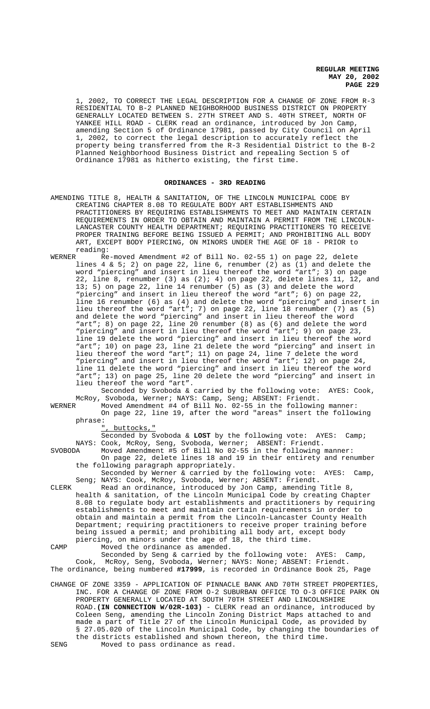1, 2002, TO CORRECT THE LEGAL DESCRIPTION FOR A CHANGE OF ZONE FROM R-3 RESIDENTIAL TO B-2 PLANNED NEIGHBORHOOD BUSINESS DISTRICT ON PROPERTY GENERALLY LOCATED BETWEEN S. 27TH STREET AND S. 40TH STREET, NORTH OF YANKEE HILL ROAD - CLERK read an ordinance, introduced by Jon Camp, amending Section 5 of Ordinance 17981, passed by City Council on April 1, 2002, to correct the legal description to accurately reflect the property being transferred from the R-3 Residential District to the B-2 Planned Neighborhood Business District and repealing Section 5 of Ordinance 17981 as hitherto existing, the first time.

### **ORDINANCES - 3RD READING**

- AMENDING TITLE 8, HEALTH & SANITATION, OF THE LINCOLN MUNICIPAL CODE BY CREATING CHAPTER 8.08 TO REGULATE BODY ART ESTABLISHMENTS AND PRACTITIONERS BY REQUIRING ESTABLISHMENTS TO MEET AND MAINTAIN CERTAIN REQUIREMENTS IN ORDER TO OBTAIN AND MAINTAIN A PERMIT FROM THE LINCOLN-LANCASTER COUNTY HEALTH DEPARTMENT; REQUIRING PRACTITIONERS TO RECEIVE PROPER TRAINING BEFORE BEING ISSUED A PERMIT; AND PROHIBITING ALL BODY ART, EXCEPT BODY PIERCING, ON MINORS UNDER THE AGE OF 18 - PRIOR to reading:
- WERNER Re-moved Amendment #2 of Bill No. 02-55 1) on page 22, delete lines  $4 \& 5$ ; 2) on page 22, line 6, renumber (2) as (1) and delete the word "piercing" and insert in lieu thereof the word "art"; 3) on page 22, line 8, renumber  $(3)$  as  $(2)$ ; 4) on page 22, delete lines 11, 12, and 13; 5) on page 22, line 14 renumber (5) as (3) and delete the word "piercing" and insert in lieu thereof the word "art"; 6) on page 22, line 16 renumber (6) as (4) and delete the word "piercing" and insert in lieu thereof the word "art"; 7) on page 22, line 18 renumber (7) as (5) and delete the word "piercing" and insert in lieu thereof the word "art"; 8) on page 22, line 20 renumber (8) as (6) and delete the word "piercing" and insert in lieu thereof the word "art"; 9) on page 23, line 19 delete the word "piercing" and insert in lieu thereof the word "art"; 10) on page 23, line 21 delete the word "piercing" and insert in lieu thereof the word "art"; 11) on page 24, line 7 delete the word "piercing" and insert in lieu thereof the word "art"; 12) on page 24, line 11 delete the word "piercing" and insert in lieu thereof the word "art"; 13) on page 25, line 20 delete the word "piercing" and insert in lieu thereof the word "art".

Seconded by Svoboda & carried by the following vote: AYES: Cook, McRoy, Svoboda, Werner; NAYS: Camp, Seng; ABSENT: Friendt.<br>WERNER Moved Amendment #4 of Bill No. 02-55 in the followin

WERNER Moved Amendment #4 of Bill No. 02-55 in the following manner: On page 22, line 19, after the word "areas" insert the following phrase:

", buttocks,"

Seconded by Svoboda & **LOST** by the following vote: AYES: Camp; NAYS: Cook, McRoy, Seng, Svoboda, Werner; ABSENT: Friendt.

SVOBODA Moved Amendment #5 of Bill No 02-55 in the following manner: On page 22, delete lines 18 and 19 in their entirety and renumber the following paragraph appropriately.

Seconded by Werner & carried by the following vote: AYES: Camp, Seng; NAYS: Cook, McRoy, Svoboda, Werner; ABSENT: Friendt.

CLERK Read an ordinance, introduced by Jon Camp, amending Title 8, health & sanitation, of the Lincoln Municipal Code by creating Chapter 8.08 to regulate body art establishments and practitioners by requiring establishments to meet and maintain certain requirements in order to obtain and maintain a permit from the Lincoln-Lancaster County Health Department; requiring practitioners to receive proper training before being issued a permit; and prohibiting all body art, except body piercing, on minors under the age of 18, the third time. CAMP Moved the ordinance as amended.

Seconded by Seng & carried by the following vote: AYES: Camp, Cook, McRoy, Seng, Svoboda, Werner; NAYS: None; ABSENT: Friendt. The ordinance, being numbered **#17999**, is recorded in Ordinance Book 25, Page

CHANGE OF ZONE 3359 - APPLICATION OF PINNACLE BANK AND 70TH STREET PROPERTIES, INC. FOR A CHANGE OF ZONE FROM O-2 SUBURBAN OFFICE TO O-3 OFFICE PARK ON PROPERTY GENERALLY LOCATED AT SOUTH 70TH STREET AND LINCOLNSHIRE ROAD.**(IN CONNECTION W/02R-103)** - CLERK read an ordinance, introduced by Coleen Seng, amending the Lincoln Zoning District Maps attached to and made a part of Title 27 of the Lincoln Municipal Code, as provided by § 27.05.020 of the Lincoln Municipal Code, by changing the boundaries of the districts established and shown thereon, the third time. SENG Moved to pass ordinance as read.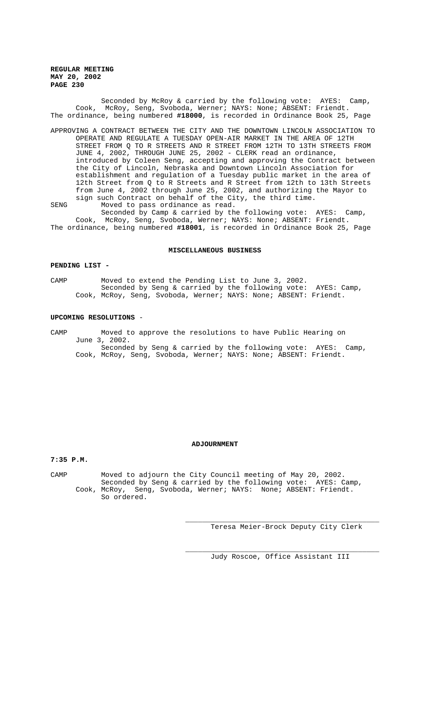Seconded by McRoy & carried by the following vote: AYES: Camp, Cook, McRoy, Seng, Svoboda, Werner; NAYS: None; ABSENT: Friendt. The ordinance, being numbered **#18000**, is recorded in Ordinance Book 25, Page

- APPROVING A CONTRACT BETWEEN THE CITY AND THE DOWNTOWN LINCOLN ASSOCIATION TO OPERATE AND REGULATE A TUESDAY OPEN-AIR MARKET IN THE AREA OF 12TH STREET FROM Q TO R STREETS AND R STREET FROM 12TH TO 13TH STREETS FROM JUNE 4, 2002, THROUGH JUNE 25, 2002 - CLERK read an ordinance, introduced by Coleen Seng, accepting and approving the Contract between the City of Lincoln, Nebraska and Downtown Lincoln Association for establishment and regulation of a Tuesday public market in the area of 12th Street from Q to R Streets and R Street from 12th to 13th Streets from June 4, 2002 through June 25, 2002, and authorizing the Mayor to sign such Contract on behalf of the City, the third time.
- SENG Moved to pass ordinance as read. Seconded by Camp & carried by the following vote: AYES: Camp, Cook, McRoy, Seng, Svoboda, Werner; NAYS: None; ABSENT: Friendt.

The ordinance, being numbered **#18001**, is recorded in Ordinance Book 25, Page

## **MISCELLANEOUS BUSINESS**

### **PENDING LIST -**

CAMP Moved to extend the Pending List to June 3, 2002. Seconded by Seng & carried by the following vote: AYES: Camp, Cook, McRoy, Seng, Svoboda, Werner; NAYS: None; ABSENT: Friendt.

#### **UPCOMING RESOLUTIONS** -

CAMP Moved to approve the resolutions to have Public Hearing on June 3, 2002. Seconded by Seng & carried by the following vote: AYES: Camp, Cook, McRoy, Seng, Svoboda, Werner; NAYS: None; ABSENT: Friendt.

#### **ADJOURNMENT**

**7:35 P.M.**

CAMP Moved to adjourn the City Council meeting of May 20, 2002. Seconded by Seng & carried by the following vote: AYES: Camp, Cook, McRoy, Seng, Svoboda, Werner; NAYS: None; ABSENT: Friendt. So ordered.

Teresa Meier-Brock Deputy City Clerk

\_\_\_\_\_\_\_\_\_\_\_\_\_\_\_\_\_\_\_\_\_\_\_\_\_\_\_\_\_\_\_\_\_\_\_\_\_\_\_\_\_\_\_\_\_\_

\_\_\_\_\_\_\_\_\_\_\_\_\_\_\_\_\_\_\_\_\_\_\_\_\_\_\_\_\_\_\_\_\_\_\_\_\_\_\_\_\_\_\_\_\_\_ Judy Roscoe, Office Assistant III